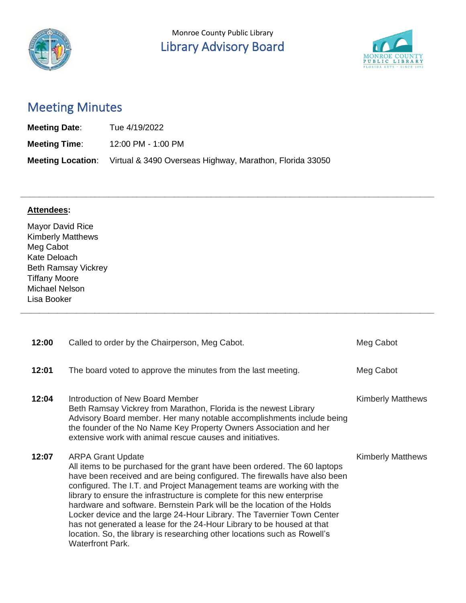

**\_\_\_\_\_\_\_\_\_\_\_\_\_\_\_\_\_\_\_\_\_\_\_\_\_\_\_\_\_\_\_\_\_\_\_\_\_\_\_\_\_\_\_\_\_\_\_\_\_\_\_\_\_\_\_\_\_\_\_\_\_\_\_\_\_\_\_\_\_\_\_\_\_\_\_\_\_\_\_\_\_\_\_\_\_\_\_\_\_**

**\_\_\_\_\_\_\_\_\_\_\_\_\_\_\_\_\_\_\_\_\_\_\_\_\_\_\_\_\_\_\_\_\_\_\_\_\_\_\_\_\_\_\_\_\_\_\_\_\_\_\_\_\_\_\_\_\_\_\_\_\_\_\_\_\_\_\_\_\_\_\_\_\_\_\_\_\_\_\_\_\_\_\_\_\_\_\_\_\_**



# Meeting Minutes

| <b>Meeting Date:</b> | Tue 4/19/2022                                                                     |
|----------------------|-----------------------------------------------------------------------------------|
| <b>Meeting Time:</b> | 12:00 PM - 1:00 PM                                                                |
|                      | <b>Meeting Location:</b> Virtual & 3490 Overseas Highway, Marathon, Florida 33050 |

#### **Attendees:**

Mayor David Rice Kimberly Matthews Meg Cabot Kate Deloach Beth Ramsay Vickrey Tiffany Moore Michael Nelson Lisa Booker

| 12:00 | Called to order by the Chairperson, Meg Cabot.                                                                                                                                                                                                                                                                                                                                                                                                                                                                                                                                                                                                                                  | Meg Cabot                |
|-------|---------------------------------------------------------------------------------------------------------------------------------------------------------------------------------------------------------------------------------------------------------------------------------------------------------------------------------------------------------------------------------------------------------------------------------------------------------------------------------------------------------------------------------------------------------------------------------------------------------------------------------------------------------------------------------|--------------------------|
| 12:01 | The board voted to approve the minutes from the last meeting.                                                                                                                                                                                                                                                                                                                                                                                                                                                                                                                                                                                                                   | Meg Cabot                |
| 12:04 | Introduction of New Board Member<br>Beth Ramsay Vickrey from Marathon, Florida is the newest Library<br>Advisory Board member. Her many notable accomplishments include being<br>the founder of the No Name Key Property Owners Association and her<br>extensive work with animal rescue causes and initiatives.                                                                                                                                                                                                                                                                                                                                                                | <b>Kimberly Matthews</b> |
| 12:07 | <b>ARPA Grant Update</b><br>All items to be purchased for the grant have been ordered. The 60 laptops<br>have been received and are being configured. The firewalls have also been<br>configured. The I.T. and Project Management teams are working with the<br>library to ensure the infrastructure is complete for this new enterprise<br>hardware and software. Bernstein Park will be the location of the Holds<br>Locker device and the large 24-Hour Library. The Tavernier Town Center<br>has not generated a lease for the 24-Hour Library to be housed at that<br>location. So, the library is researching other locations such as Rowell's<br><b>Waterfront Park.</b> | <b>Kimberly Matthews</b> |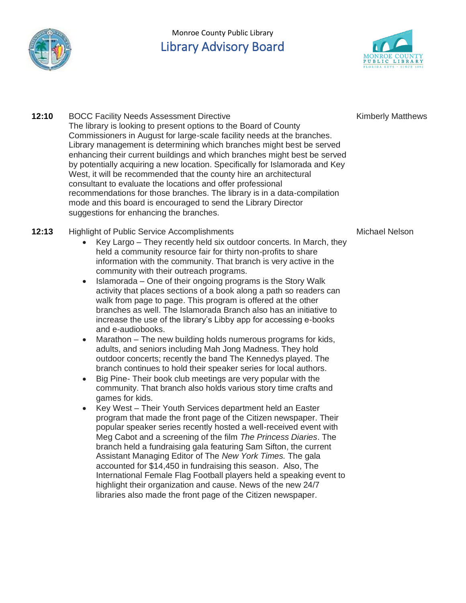

## Monroe County Public Library Library Advisory Board



Kimberly Matthews

**12:10 BOCC Facility Needs Assessment Directive** The library is looking to present options to the Board of County Commissioners in August for large-scale facility needs at the branches. Library management is determining which branches might best be served enhancing their current buildings and which branches might best be served by potentially acquiring a new location. Specifically for Islamorada and Key West, it will be recommended that the county hire an architectural consultant to evaluate the locations and offer professional recommendations for those branches. The library is in a data-compilation mode and this board is encouraged to send the Library Director suggestions for enhancing the branches.

#### **12:13** Highlight of Public Service Accomplishments

- Key Largo They recently held six outdoor concerts. In March, they held a community resource fair for thirty non-profits to share information with the community. That branch is very active in the community with their outreach programs.
- Islamorada One of their ongoing programs is the Story Walk activity that places sections of a book along a path so readers can walk from page to page. This program is offered at the other branches as well. The Islamorada Branch also has an initiative to increase the use of the library's Libby app for accessing e-books and e-audiobooks.
- Marathon The new building holds numerous programs for kids, adults, and seniors including Mah Jong Madness. They hold outdoor concerts; recently the band The Kennedys played. The branch continues to hold their speaker series for local authors.
- Big Pine- Their book club meetings are very popular with the community. That branch also holds various story time crafts and games for kids.
- Key West Their Youth Services department held an Easter program that made the front page of the Citizen newspaper. Their popular speaker series recently hosted a well-received event with Meg Cabot and a screening of the film *The Princess Diaries*. The branch held a fundraising gala featuring Sam Sifton, the current Assistant Managing Editor of The *New York Times.* The gala accounted for \$14,450 in fundraising this season. Also, The International Female Flag Football players held a speaking event to highlight their organization and cause. News of the new 24/7 libraries also made the front page of the Citizen newspaper.

Michael Nelson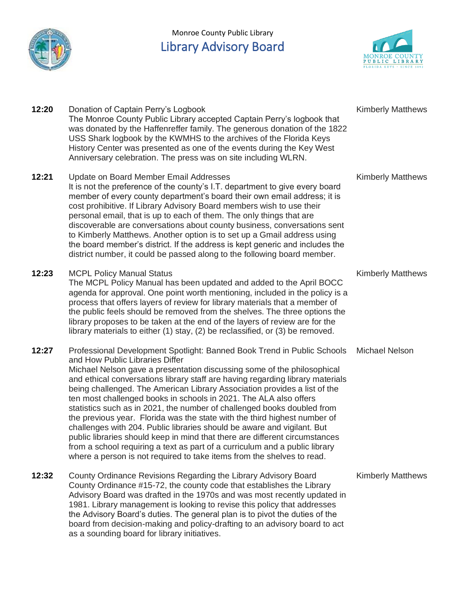

# Monroe County Public Library Library Advisory Board



| 12:20 | Donation of Captain Perry's Logbook<br>The Monroe County Public Library accepted Captain Perry's logbook that<br>was donated by the Haffenreffer family. The generous donation of the 1822<br>USS Shark logbook by the KWMHS to the archives of the Florida Keys<br>History Center was presented as one of the events during the Key West<br>Anniversary celebration. The press was on site including WLRN.                                                                                                                                                                                                                                                                                                                                                                                                                                                                                          | <b>Kimberly Matthews</b> |
|-------|------------------------------------------------------------------------------------------------------------------------------------------------------------------------------------------------------------------------------------------------------------------------------------------------------------------------------------------------------------------------------------------------------------------------------------------------------------------------------------------------------------------------------------------------------------------------------------------------------------------------------------------------------------------------------------------------------------------------------------------------------------------------------------------------------------------------------------------------------------------------------------------------------|--------------------------|
| 12:21 | Update on Board Member Email Addresses<br>It is not the preference of the county's I.T. department to give every board<br>member of every county department's board their own email address; it is<br>cost prohibitive. If Library Advisory Board members wish to use their<br>personal email, that is up to each of them. The only things that are<br>discoverable are conversations about county business, conversations sent<br>to Kimberly Matthews. Another option is to set up a Gmail address using<br>the board member's district. If the address is kept generic and includes the<br>district number, it could be passed along to the following board member.                                                                                                                                                                                                                               | <b>Kimberly Matthews</b> |
| 12:23 | <b>MCPL Policy Manual Status</b><br>The MCPL Policy Manual has been updated and added to the April BOCC<br>agenda for approval. One point worth mentioning, included in the policy is a<br>process that offers layers of review for library materials that a member of<br>the public feels should be removed from the shelves. The three options the<br>library proposes to be taken at the end of the layers of review are for the<br>library materials to either (1) stay, (2) be reclassified, or (3) be removed.                                                                                                                                                                                                                                                                                                                                                                                 | <b>Kimberly Matthews</b> |
| 12:27 | Professional Development Spotlight: Banned Book Trend in Public Schools<br>and How Public Libraries Differ<br>Michael Nelson gave a presentation discussing some of the philosophical<br>and ethical conversations library staff are having regarding library materials<br>being challenged. The American Library Association provides a list of the<br>ten most challenged books in schools in 2021. The ALA also offers<br>statistics such as in 2021, the number of challenged books doubled from<br>the previous year. Florida was the state with the third highest number of<br>challenges with 204. Public libraries should be aware and vigilant. But<br>public libraries should keep in mind that there are different circumstances<br>from a school requiring a text as part of a curriculum and a public library<br>where a person is not required to take items from the shelves to read. | <b>Michael Nelson</b>    |
| 12:32 | County Ordinance Revisions Regarding the Library Advisory Board<br>County Ordinance #15-72, the county code that establishes the Library<br>Advisory Board was drafted in the 1970s and was most recently updated in<br>1981. Library management is looking to revise this policy that addresses<br>the Advisory Board's duties. The general plan is to pivot the duties of the<br>board from decision-making and policy-drafting to an advisory board to act<br>as a sounding board for library initiatives.                                                                                                                                                                                                                                                                                                                                                                                        | <b>Kimberly Matthews</b> |